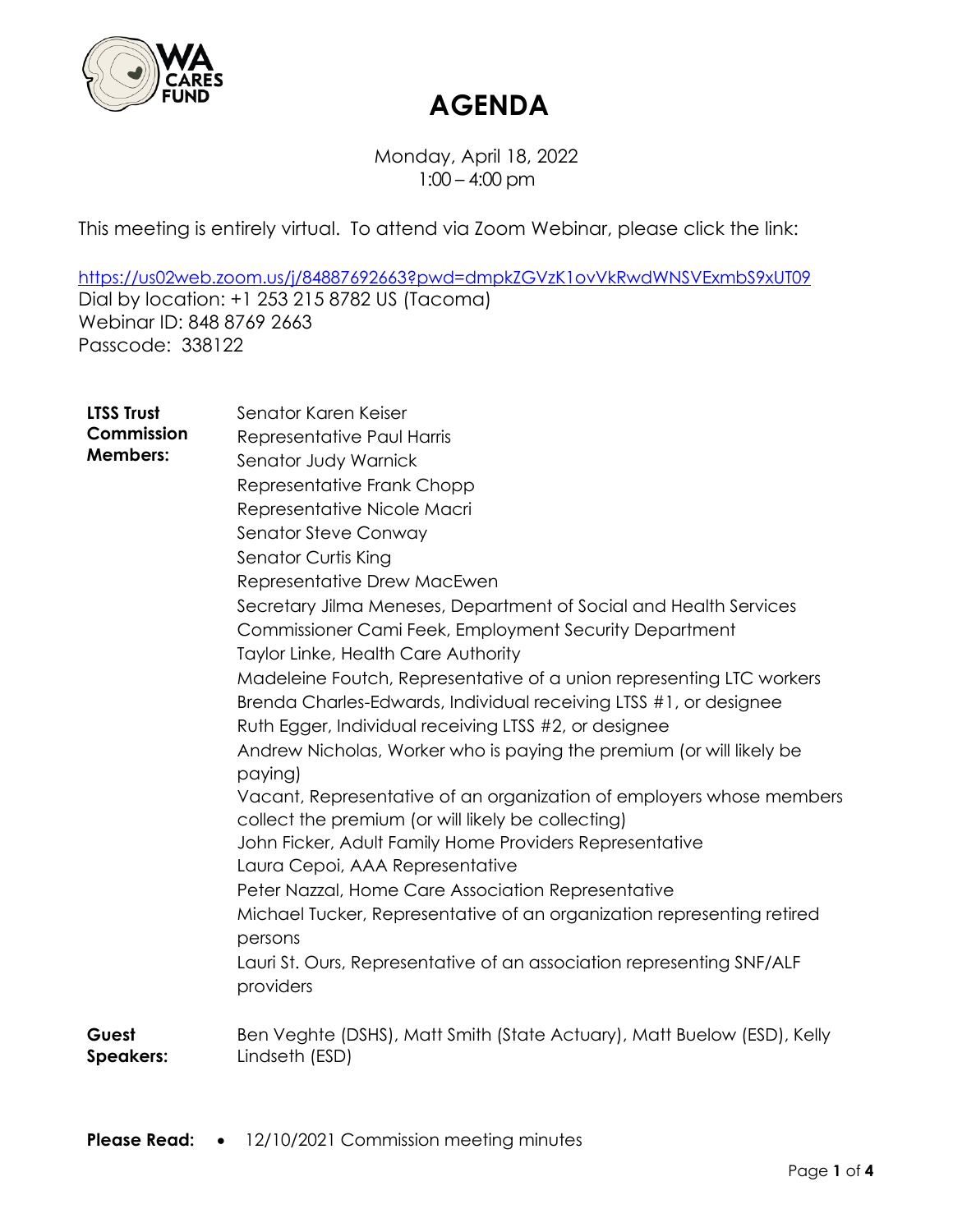

Monday, April 18, 2022 1:00 – 4:00 pm

This meeting is entirely virtual. To attend via Zoom Webinar, please click the link:

<https://us02web.zoom.us/j/84887692663?pwd=dmpkZGVzK1ovVkRwdWNSVExmbS9xUT09> Dial by location: +1 253 215 8782 US (Tacoma) Webinar ID: 848 8769 2663 Passcode: 338122

| <b>LTSS Trust</b><br>Commission<br><b>Members:</b> | Senator Karen Keiser<br>Representative Paul Harris<br>Senator Judy Warnick<br>Representative Frank Chopp<br>Representative Nicole Macri<br><b>Senator Steve Conway</b><br>Senator Curtis King<br>Representative Drew MacEwen<br>Secretary Jilma Meneses, Department of Social and Health Services<br>Commissioner Cami Feek, Employment Security Department<br>Taylor Linke, Health Care Authority<br>Madeleine Foutch, Representative of a union representing LTC workers<br>Brenda Charles-Edwards, Individual receiving LTSS #1, or designee<br>Ruth Egger, Individual receiving LTSS #2, or designee<br>Andrew Nicholas, Worker who is paying the premium (or will likely be<br>paying)<br>Vacant, Representative of an organization of employers whose members<br>collect the premium (or will likely be collecting)<br>John Ficker, Adult Family Home Providers Representative<br>Laura Cepoi, AAA Representative<br>Peter Nazzal, Home Care Association Representative<br>Michael Tucker, Representative of an organization representing retired<br>persons<br>Lauri St. Ours, Representative of an association representing SNF/ALF<br>providers |
|----------------------------------------------------|----------------------------------------------------------------------------------------------------------------------------------------------------------------------------------------------------------------------------------------------------------------------------------------------------------------------------------------------------------------------------------------------------------------------------------------------------------------------------------------------------------------------------------------------------------------------------------------------------------------------------------------------------------------------------------------------------------------------------------------------------------------------------------------------------------------------------------------------------------------------------------------------------------------------------------------------------------------------------------------------------------------------------------------------------------------------------------------------------------------------------------------------------------|
| Guest                                              | Ben Veghte (DSHS), Matt Smith (State Actuary), Matt Buelow (ESD), Kelly                                                                                                                                                                                                                                                                                                                                                                                                                                                                                                                                                                                                                                                                                                                                                                                                                                                                                                                                                                                                                                                                                  |
| <b>Speakers:</b>                                   | Lindseth (ESD)                                                                                                                                                                                                                                                                                                                                                                                                                                                                                                                                                                                                                                                                                                                                                                                                                                                                                                                                                                                                                                                                                                                                           |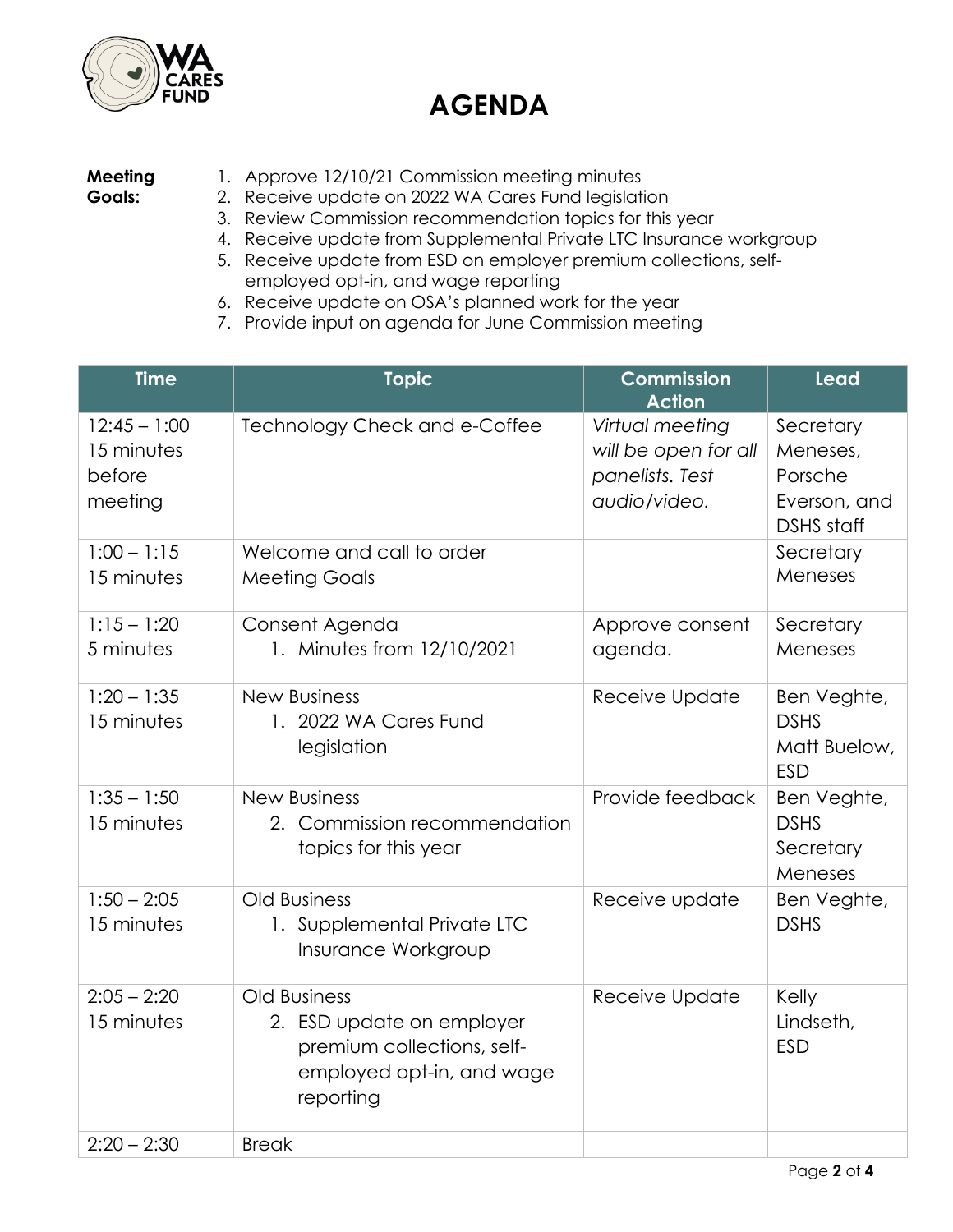

#### **Meeting Goals:**

- 1. Approve 12/10/21 Commission meeting minutes
- 2. Receive update on 2022 WA Cares Fund legislation
- 3. Review Commission recommendation topics for this year
- 4. Receive update from Supplemental Private LTC Insurance workgroup
- 5. Receive update from ESD on employer premium collections, selfemployed opt-in, and wage reporting
- 6. Receive update on OSA's planned work for the year
- 7. Provide input on agenda for June Commission meeting

| <b>Time</b>                                       | <b>Topic</b>                                                                                                      | <b>Commission</b><br><b>Action</b>                                         | <b>Lead</b>                                                           |
|---------------------------------------------------|-------------------------------------------------------------------------------------------------------------------|----------------------------------------------------------------------------|-----------------------------------------------------------------------|
| $12:45 - 1:00$<br>15 minutes<br>before<br>meeting | Technology Check and e-Coffee                                                                                     | Virtual meeting<br>will be open for all<br>panelists. Test<br>audio/video. | Secretary<br>Meneses,<br>Porsche<br>Everson, and<br><b>DSHS</b> staff |
| $1:00 - 1:15$<br>15 minutes                       | Welcome and call to order<br><b>Meeting Goals</b>                                                                 |                                                                            | Secretary<br>Meneses                                                  |
| $1:15 - 1:20$<br>5 minutes                        | Consent Agenda<br>1. Minutes from 12/10/2021                                                                      | Approve consent<br>agenda.                                                 | Secretary<br>Meneses                                                  |
| $1:20 - 1:35$<br>15 minutes                       | <b>New Business</b><br>1. 2022 WA Cares Fund<br>legislation                                                       | Receive Update                                                             | Ben Veghte,<br><b>DSHS</b><br>Matt Buelow,<br><b>ESD</b>              |
| $1:35 - 1:50$<br>15 minutes                       | <b>New Business</b><br>2. Commission recommendation<br>topics for this year                                       | Provide feedback                                                           | Ben Veghte,<br><b>DSHS</b><br>Secretary<br>Meneses                    |
| $1:50 - 2:05$<br>15 minutes                       | <b>Old Business</b><br>1. Supplemental Private LTC<br>Insurance Workgroup                                         | Receive update                                                             | Ben Veghte,<br><b>DSHS</b>                                            |
| $2:05 - 2:20$<br>15 minutes                       | Old Business<br>2. ESD update on employer<br>premium collections, self-<br>employed opt-in, and wage<br>reporting | Receive Update                                                             | Kelly<br>Lindseth,<br><b>ESD</b>                                      |
| $2:20 - 2:30$                                     | <b>Break</b>                                                                                                      |                                                                            |                                                                       |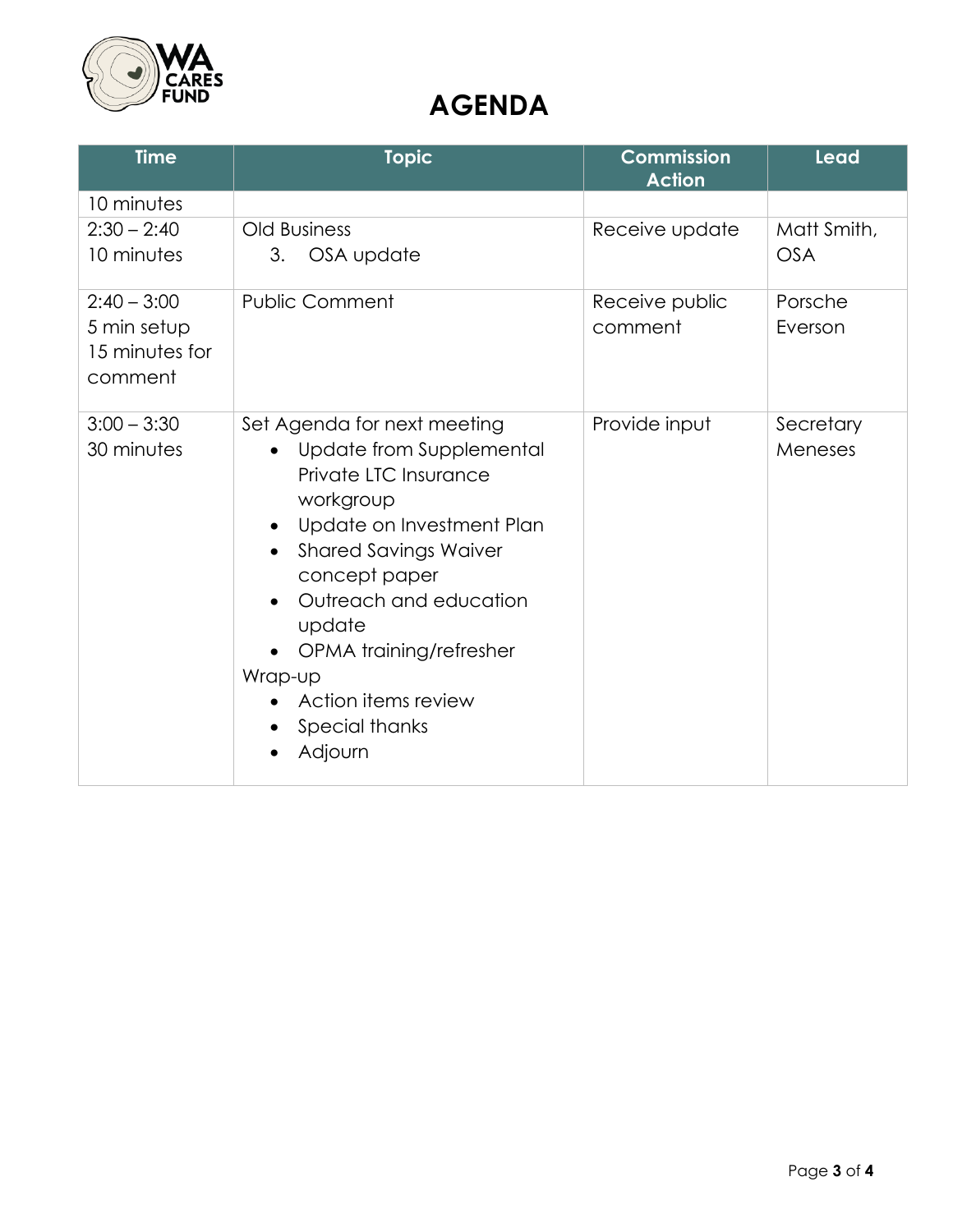

| <b>Time</b>                                               | <b>Topic</b>                                                                                                                                                                                                                                                                                                           | <b>Commission</b><br><b>Action</b> | Lead                      |
|-----------------------------------------------------------|------------------------------------------------------------------------------------------------------------------------------------------------------------------------------------------------------------------------------------------------------------------------------------------------------------------------|------------------------------------|---------------------------|
| 10 minutes                                                |                                                                                                                                                                                                                                                                                                                        |                                    |                           |
| $2:30 - 2:40$<br>10 minutes                               | <b>Old Business</b><br>OSA update<br>3.                                                                                                                                                                                                                                                                                | Receive update                     | Matt Smith,<br><b>OSA</b> |
| $2:40 - 3:00$<br>5 min setup<br>15 minutes for<br>comment | <b>Public Comment</b>                                                                                                                                                                                                                                                                                                  | Receive public<br>comment          | Porsche<br>Everson        |
| $3:00 - 3:30$<br>30 minutes                               | Set Agenda for next meeting<br>Update from Supplemental<br>Private LTC Insurance<br>workgroup<br>Update on Investment Plan<br><b>Shared Savings Waiver</b><br>concept paper<br>Outreach and education<br>$\bullet$<br>update<br>OPMA training/refresher<br>Wrap-up<br>Action items review<br>Special thanks<br>Adjourn | Provide input                      | Secretary<br>Meneses      |